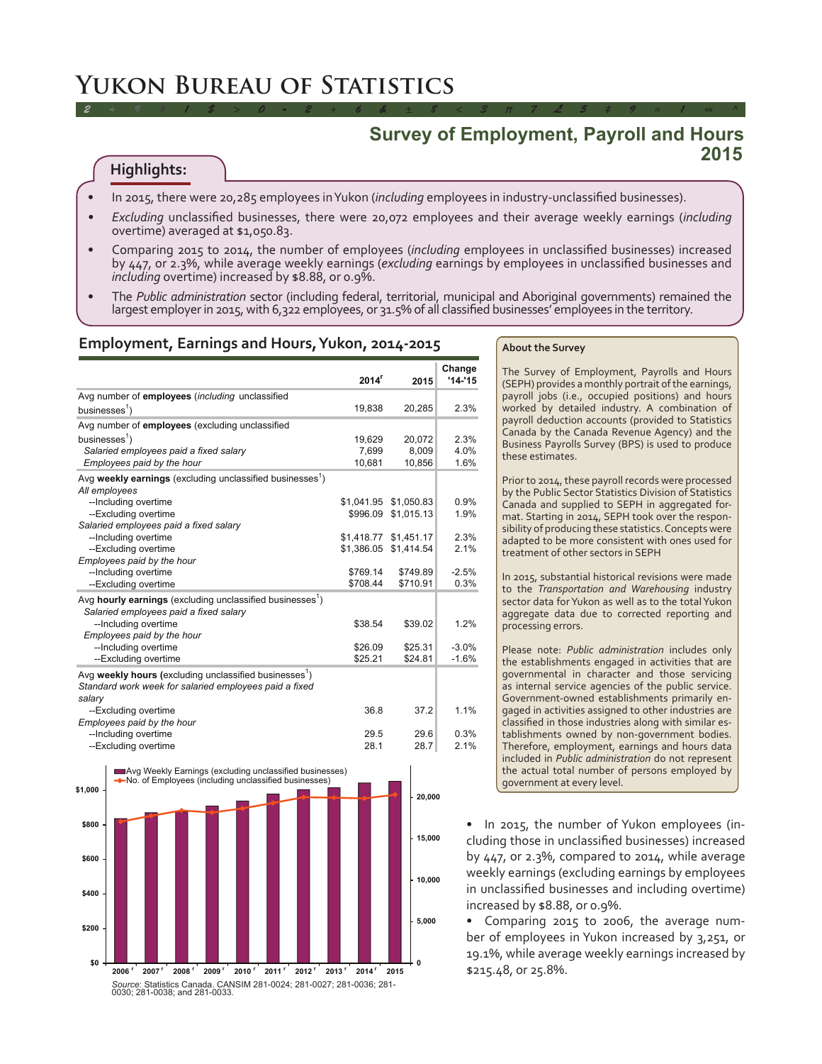# **Yukon Bureau of Statistics**

# **Survey of Employment, Payroll and Hours 2015**

# **Highlights:**

- In 2015, there were 20,285 employees in Yukon (*including* employees in industry-unclassified businesses).
- *Excluding* unclassified businesses, there were 20,072 employees and their average weekly earnings (*including* overtime) averaged at \$1,050.83.

*2 ÷ 9 # 1 \$ > 0 - 2 + 6 & ± 8 < 3 π 7 £ 5 ‡ 9 ≈ 1 ∞ ^*

- Comparing 2015 to 2014, the number of employees (*including* employees in unclassified businesses) increased by 447, or 2.3%, while average weekly earnings (*excluding* earnings by employees in unclassified businesses and *including* overtime) increased by \$8.88, or 0.9%.
- The *Public administration* sector (including federal, territorial, municipal and Aboriginal governments) remained the largest employer in 2015, with 6,322 employees, or 31.5% of all classified businesses' employees in the territory.

# **Employment, Earnings and Hours, Yukon, 2014-2015**

|                                                                                                                 | $2014$ <sup>r</sup> | 2015                  | Change<br>$'14 - 15$ |
|-----------------------------------------------------------------------------------------------------------------|---------------------|-----------------------|----------------------|
| Avg number of employees (including unclassified                                                                 |                     |                       |                      |
| businesses $\frac{1}{2}$                                                                                        | 19.838              | 20,285                | 2.3%                 |
| Avg number of employees (excluding unclassified                                                                 |                     |                       |                      |
| businesses $\frac{1}{2}$                                                                                        | 19,629              | 20,072                | 2.3%                 |
| Salaried employees paid a fixed salary                                                                          | 7.699               | 8.009                 | 4.0%                 |
| Employees paid by the hour                                                                                      | 10,681              | 10,856                | 1.6%                 |
| Avg weekly earnings (excluding unclassified businesses <sup>1</sup> )                                           |                     |                       |                      |
| All employees                                                                                                   |                     |                       |                      |
| --Including overtime                                                                                            | \$1,041.95          | \$1,050.83            | 0.9%                 |
| --Excluding overtime                                                                                            | \$996.09            | \$1,015.13            | 1.9%                 |
| Salaried employees paid a fixed salary                                                                          |                     |                       |                      |
| --Including overtime                                                                                            |                     | \$1,418.77 \$1,451.17 | 2.3%                 |
| --Excluding overtime                                                                                            | \$1,386.05          | \$1,414.54            | 2.1%                 |
| Employees paid by the hour                                                                                      |                     |                       |                      |
| --Including overtime                                                                                            | \$769.14            | \$749.89              | $-2.5%$              |
| --Excluding overtime                                                                                            | \$708.44            | \$710.91              | 0.3%                 |
| Avg hourly earnings (excluding unclassified businesses <sup>1</sup> )<br>Salaried employees paid a fixed salary |                     |                       |                      |
| --Including overtime                                                                                            | \$38.54             | \$39.02               | 1.2%                 |
| Employees paid by the hour                                                                                      |                     |                       |                      |
| --Including overtime                                                                                            | \$26.09             | \$25.31               | $-3.0%$              |
| --Excluding overtime                                                                                            | \$25.21             | \$24.81               | $-1.6%$              |
| Avg weekly hours (excluding unclassified businesses <sup>1</sup> )                                              |                     |                       |                      |
| Standard work week for salaried employees paid a fixed                                                          |                     |                       |                      |
| salary                                                                                                          |                     |                       |                      |
| --Excluding overtime                                                                                            | 36.8                | 37.2                  | 1.1%                 |
| Employees paid by the hour                                                                                      |                     |                       |                      |
| --Including overtime                                                                                            | 29.5                | 29.6                  | 0.3%                 |
| --Excluding overtime                                                                                            | 28.1                | 28.7                  | 2.1%                 |



#### **About the Survey**

The Survey of Employment, Payrolls and Hours (SEPH) provides a monthly portrait of the earnings, payroll jobs (i.e., occupied positions) and hours worked by detailed industry. A combination of payroll deduction accounts (provided to Statistics Canada by the Canada Revenue Agency) and the Business Payrolls Survey (BPS) is used to produce these estimates.

Prior to 2014, these payroll records were processed by the Public Sector Statistics Division of Statistics Canada and supplied to SEPH in aggregated format. Starting in 2014, SEPH took over the responsibility of producing these statistics. Concepts were adapted to be more consistent with ones used for treatment of other sectors in SEPH

In 2015, substantial historical revisions were made to the *Transportation and Warehousing* industry sector data for Yukon as well as to the total Yukon aggregate data due to corrected reporting and processing errors.

Please note: *Public administration* includes only the establishments engaged in activities that are governmental in character and those servicing as internal service agencies of the public service. Government-owned establishments primarily engaged in activities assigned to other industries are classified in those industries along with similar establishments owned by non-government bodies. Therefore, employment, earnings and hours data included in *Public administration* do not represent the actual total number of persons employed by government at every level.

• In 2015, the number of Yukon employees (including those in unclassified businesses) increased by 447, or 2.3%, compared to 2014, while average weekly earnings (excluding earnings by employees in unclassified businesses and including overtime) increased by \$8.88, or 0.9%.

• Comparing 2015 to 2006, the average number of employees in Yukon increased by 3,251, or 19.1%, while average weekly earnings increased by \$215.48, or 25.8%.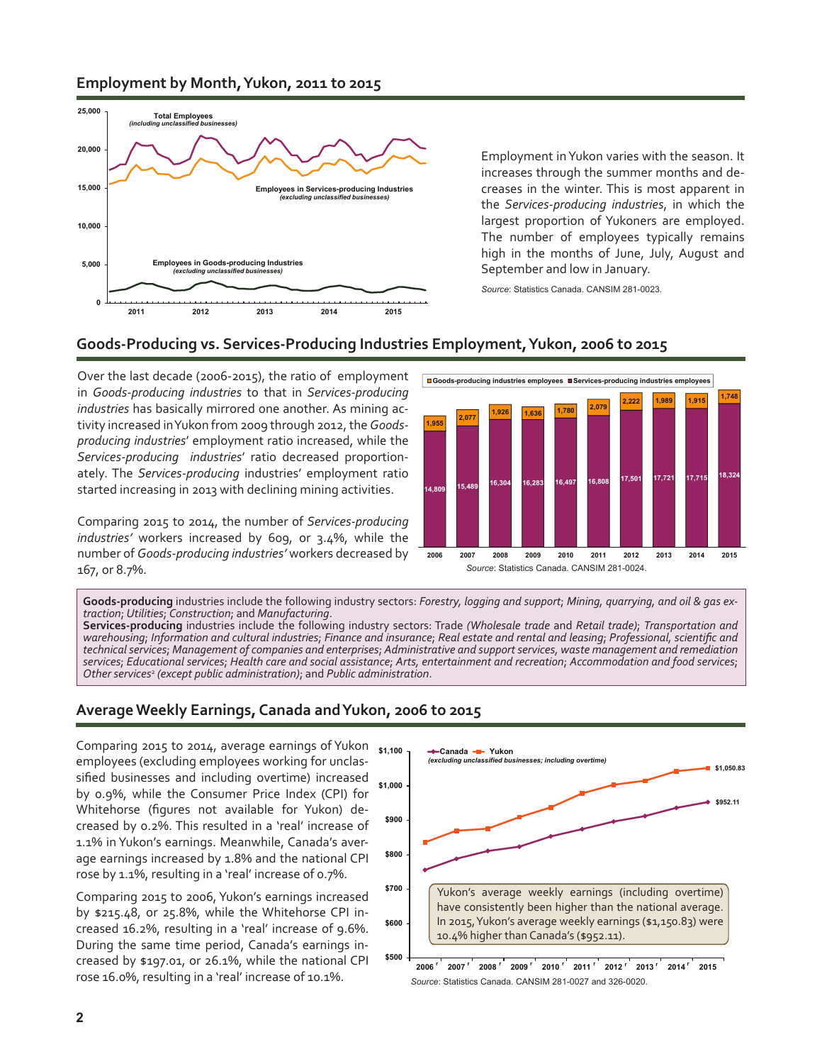# **Employment by Month, Yukon, 2011 to 2015**



Employment in Yukon varies with the season. It increases through the summer months and decreases in the winter. This is most apparent in the *Services-producing industries*, in which the largest proportion of Yukoners are employed. The number of employees typically remains high in the months of June, July, August and September and low in January.

*Source*: Statistics Canada. CANSIM 281-0023.

# **Goods-Producing vs. Services-Producing Industries Employment, Yukon, 2006 to 2015**

Over the last decade (2006-2015), the ratio of employment in *Goods-producing industries* to that in *Services-producing industries* has basically mirrored one another. As mining activity increased in Yukon from 2009 through 2012, the *Goodsproducing industries*' employment ratio increased, while the *Services-producing industries*' ratio decreased proportionately. The *Services-producing* industries' employment ratio started increasing in 2013 with declining mining activities.

Comparing 2015 to 2014, the number of *Services-producing industries'* workers increased by 609, or 3.4%, while the number of *Goods-producing industries'* workers decreased by 167, or 8.7%. *Source*: Statistics Canada. CANSIM 281-0024.



**Goods-producing** industries include the following industry sectors: *Forestry, logging and support*; *Mining, quarrying, and oil & gas ex traction*; *Utilities*; *Construction*; and *Manufacturing*.

**Services-producing** industries include the following industry sectors: Trade *(Wholesale trade* and *Retail trade)*; *Transportation and warehousing*; *Information and cultural industries*; *Finance and insurance*; *Real estate and rental and leasing*; *Professional, scientific and technical services*; *Management of companies and enterprises*; *Administrative and support services, waste management and remediation services*; *Educational services*; *Health care and social assistance*; *Arts, entertainment and recreation*; *Accommodation and food services*; *Other services*<sup>2</sup>  *(except public administration)*; and *Public administration*.

# **Average Weekly Earnings, Canada and Yukon, 2006 to 2015**

**\$1,000 \$1,100** Comparing 2015 to 2014, average earnings of Yukon employees (excluding employees working for unclassified businesses and including overtime) increased by 0.9%, while the Consumer Price Index (CPI) for Whitehorse (figures not available for Yukon) decreased by 0.2%. This resulted in a 'real' increase of 1.1% in Yukon's earnings. Meanwhile, Canada's average earnings increased by 1.8% and the national CPI rose by 1.1%, resulting in a 'real' increase of 0.7%.

Comparing 2015 to 2006, Yukon's earnings increased by \$215.48, or 25.8%, while the Whitehorse CPI increased 16.2%, resulting in a 'real' increase of 9.6%. During the same time period, Canada's earnings increased by \$197.01, or 26.1%, while the national CPI rose 16.0%, resulting in a 'real' increase of 10.1%.



**2006 2007 2008 2009 2010 2011 2012 2013 2014 2015 r r r r r r r r r** *Source*: Statistics Canada. CANSIM 281-0027 and 326-0020.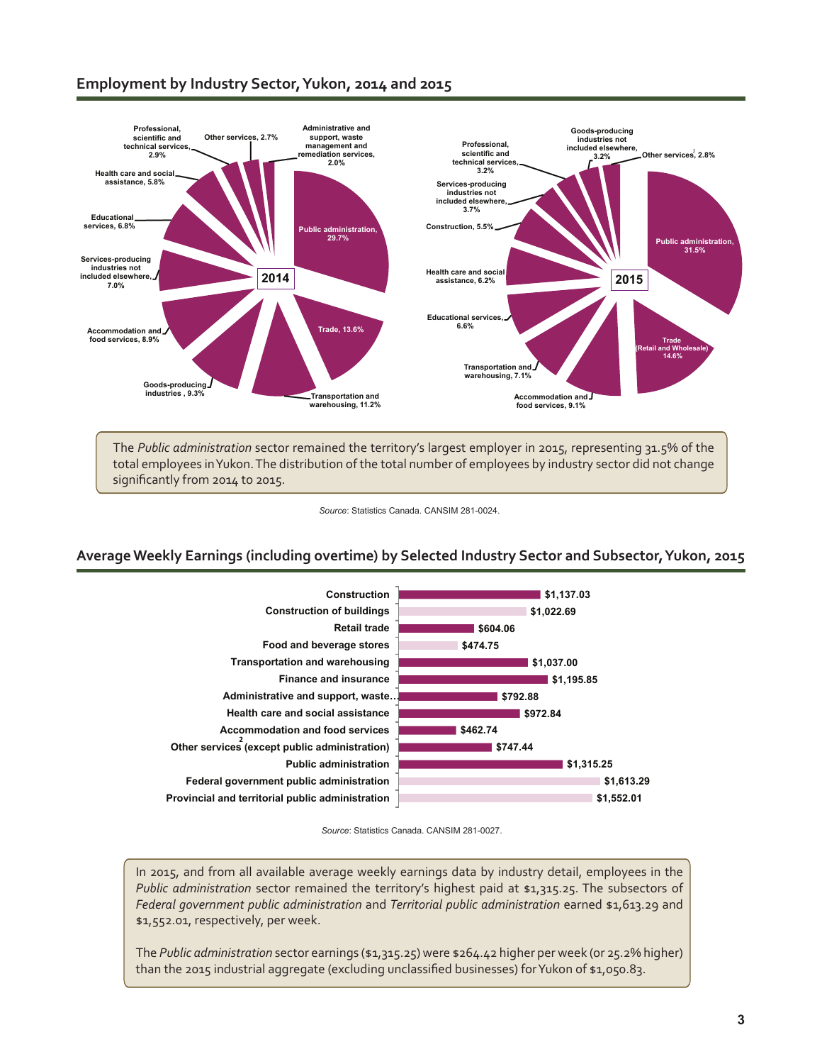# **Employment by Industry Sector, Yukon, 2014 and 2015**



The *Public administration* sector remained the territory's largest employer in 2015, representing 31.5% of the total employees in Yukon. The distribution of the total number of employees by industry sector did not change significantly from 2014 to 2015.

#### *Source*: Statistics Canada. CANSIM 281-0024.

### **Average Weekly Earnings (including overtime) by Selected Industry Sector and Subsector, Yukon, 2015**



*Source*: Statistics Canada. CANSIM 281-0027.

In 2015, and from all available average weekly earnings data by industry detail, employees in the *Public administration* sector remained the territory's highest paid at \$1,315.25. The subsectors of *Federal government public administration* and *Territorial public administration* earned \$1,613.29 and \$1,552.01, respectively, per week.

The *Public administration* sector earnings (\$1,315.25) were \$264.42 higher per week (or 25.2% higher) than the 2015 industrial aggregate (excluding unclassified businesses) for Yukon of \$1,050.83.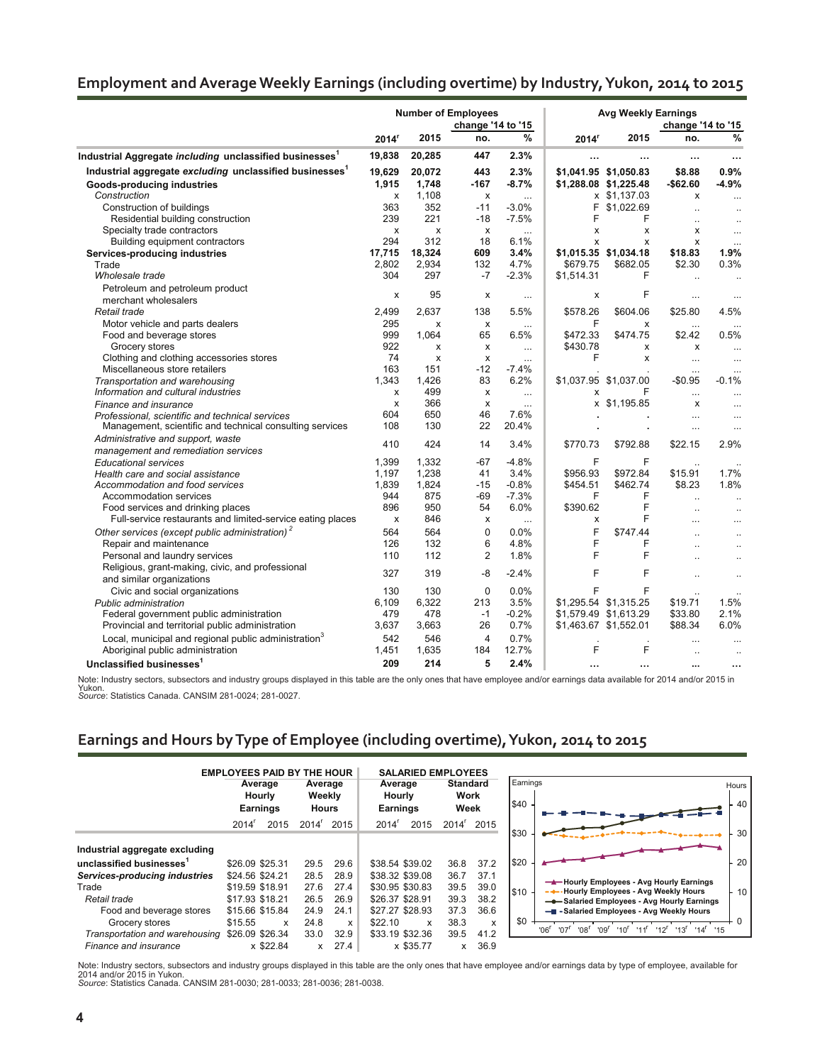# **Employment and Average Weekly Earnings (including overtime) by Industry, Yukon, 2014 to 2015**

| change '14 to '15<br>change '14 to '15<br>%<br>%<br>2015<br>2015<br>no.<br>no.<br>2014 <sup>r</sup><br>2014 <sup>r</sup><br>19,838<br>20,285<br>447<br>2.3%<br><br><br>$\cdots$<br>$\cdots$<br>Industrial aggregate excluding unclassified businesses <sup>1</sup><br>0.9%<br>19,629<br>443<br>2.3%<br>\$1,041.95 \$1,050.83<br>\$8.88<br>20,072<br>1,748<br>-167<br>$-8.7%$<br>\$1,288.08 \$1,225.48<br>$-$62.60$<br>$-4.9%$<br>1,915<br>Goods-producing industries<br>Construction<br>1,108<br>x \$1,137.03<br>X<br>x<br>$\mathsf{x}$<br>$\ddotsc$<br>$\cdots$<br>$-3.0%$<br>F<br>Construction of buildings<br>363<br>352<br>$-11$<br>\$1,022.69<br>$\ddot{\phantom{a}}$<br>$\ddot{\phantom{a}}$<br>Residential building construction<br>239<br>221<br>$-18$<br>$-7.5%$<br>F<br>F<br>$\ddot{\phantom{a}}$<br>$\sim$<br>Specialty trade contractors<br>X<br>X<br>X<br>X<br>x<br>x<br>$\ddotsc$<br>$\ddotsc$<br>Building equipment contractors<br>294<br>312<br>18<br>6.1%<br>X<br>x<br>x<br>$\cdots$<br>1.9%<br>17,715<br>18,324<br>609<br>3.4%<br>\$1,015.35 \$1,034.18<br>\$18.83<br>Services-producing industries<br>2.802<br>2.934<br>132<br>4.7%<br>\$679.75<br>\$682.05<br>\$2.30<br>0.3%<br>Trade<br>Wholesale trade<br>304<br>297<br>$-7$<br>$-2.3%$<br>\$1,514.31<br>F<br>$\ddot{\phantom{a}}$<br>$\sim$<br>Petroleum and petroleum product<br>95<br>F<br>х<br>х<br>х<br>$\cdots$<br>$\cdots$<br>merchant wholesalers<br>2.499<br>5.5%<br>\$578.26<br>\$604.06<br>\$25.80<br>4.5%<br>Retail trade<br>2.637<br>138<br>295<br>F<br>Motor vehicle and parts dealers<br>х<br>х<br>x<br>$\ldots$<br>$\ldots$<br>999<br>1,064<br>65<br>\$472.33<br>\$474.75<br>\$2.42<br>0.5%<br>Food and beverage stores<br>6.5%<br>922<br>\$430.78<br>Grocery stores<br>x<br>x<br>x<br>х<br>$\ldots$<br>$\cdots$<br>F<br>74<br>Clothing and clothing accessories stores<br>x<br>x<br>x<br>$\cdots$<br>$\cdots$<br>$\cdots$<br>163<br>$-12$<br>$-7.4%$<br>Miscellaneous store retailers<br>151<br>$\ddots$<br>$\ddotsc$<br>83<br>1,343<br>1,426<br>6.2%<br>\$1,037.95 \$1,037.00<br>$-$0.95$<br>$-0.1%$<br>Transportation and warehousing<br>Information and cultural industries<br>499<br>F<br>x<br>x<br>х<br>$\cdots$<br>$\cdots$<br>$\cdots$<br>366<br>x \$1,195.85<br>X<br>х<br>x<br>Finance and insurance<br>$\ddotsc$<br>$\ddotsc$<br>650<br>46<br>7.6%<br>604<br>Professional, scientific and technical services<br>$\ddotsc$<br>$\cdots$<br>22<br>108<br>130<br>20.4%<br>Management, scientific and technical consulting services<br>$\ddots$<br>$\ddotsc$<br>Administrative and support, waste<br>410<br>424<br>14<br>3.4%<br>\$770.73<br>\$792.88<br>\$22.15<br>2.9%<br>management and remediation services<br>1.399<br>$-4.8%$<br>F<br>1,332<br>$-67$<br>F<br><b>Educational services</b><br>1,238<br>3.4%<br>\$956.93<br>\$972.84<br>\$15.91<br>1.7%<br>1,197<br>41<br>Health care and social assistance<br>1,839<br>1,824<br>$-0.8%$<br>\$462.74<br>\$8.23<br>1.8%<br>Accommodation and food services<br>$-15$<br>\$454.51<br>$-69$<br>$-7.3%$<br>F<br>F<br>944<br>875<br>Accommodation services<br>$\ddot{\phantom{a}}$<br>6.0%<br>F<br>896<br>950<br>54<br>\$390.62<br>Food services and drinking places<br>$\ddot{\phantom{a}}$<br>F<br>Full-service restaurants and limited-service eating places<br>846<br>X<br>x<br>х<br>$\cdots$<br>$\ddotsc$<br>$\ddotsc$<br>Other services (except public administration) <sup>2</sup><br>564<br>0.0%<br>F<br>564<br>0<br>\$747.44<br>$\ddot{\phantom{a}}$<br>$\ddotsc$<br>F<br>6<br>F<br>Repair and maintenance<br>126<br>132<br>4.8%<br>$\ddot{\phantom{a}}$<br>$\ddot{\phantom{a}}$<br>F<br>F<br>112<br>2<br>1.8%<br>Personal and laundry services<br>110<br>$\ddot{\phantom{a}}$<br>$\ddot{\phantom{a}}$<br>Religious, grant-making, civic, and professional<br>F<br>327<br>F<br>319<br>-8<br>$-2.4%$<br>$\ddot{\phantom{a}}$<br>$\ddotsc$<br>and similar organizations<br>0.0%<br>F<br>Civic and social organizations<br>130<br>130<br>$\Omega$<br>F<br>3.5%<br>1.5%<br>6,109<br>6,322<br>213<br>\$1,295.54 \$1,315.25<br>\$19.71<br>Public administration<br>$-0.2%$<br>2.1%<br>Federal government public administration<br>479<br>478<br>\$1,579.49 \$1,613.29<br>\$33.80<br>$-1$<br>6.0%<br>Provincial and territorial public administration<br>3,637<br>3,663<br>26<br>0.7%<br>\$1,463.67 \$1,552.01<br>\$88.34<br>0.7%<br>Local, municipal and regional public administration <sup>3</sup><br>542<br>546<br>4<br>F<br>F<br>Aboriginal public administration<br>12.7%<br>1,451<br>1,635<br>184<br>$\ddot{\phantom{a}}$ |                                                                     |     |     | <b>Number of Employees</b> |      | <b>Avg Weekly Earnings</b> |  |  |  |
|----------------------------------------------------------------------------------------------------------------------------------------------------------------------------------------------------------------------------------------------------------------------------------------------------------------------------------------------------------------------------------------------------------------------------------------------------------------------------------------------------------------------------------------------------------------------------------------------------------------------------------------------------------------------------------------------------------------------------------------------------------------------------------------------------------------------------------------------------------------------------------------------------------------------------------------------------------------------------------------------------------------------------------------------------------------------------------------------------------------------------------------------------------------------------------------------------------------------------------------------------------------------------------------------------------------------------------------------------------------------------------------------------------------------------------------------------------------------------------------------------------------------------------------------------------------------------------------------------------------------------------------------------------------------------------------------------------------------------------------------------------------------------------------------------------------------------------------------------------------------------------------------------------------------------------------------------------------------------------------------------------------------------------------------------------------------------------------------------------------------------------------------------------------------------------------------------------------------------------------------------------------------------------------------------------------------------------------------------------------------------------------------------------------------------------------------------------------------------------------------------------------------------------------------------------------------------------------------------------------------------------------------------------------------------------------------------------------------------------------------------------------------------------------------------------------------------------------------------------------------------------------------------------------------------------------------------------------------------------------------------------------------------------------------------------------------------------------------------------------------------------------------------------------------------------------------------------------------------------------------------------------------------------------------------------------------------------------------------------------------------------------------------------------------------------------------------------------------------------------------------------------------------------------------------------------------------------------------------------------------------------------------------------------------------------------------------------------------------------------------------------------------------------------------------------------------------------------------------------------------------------------------------------------------------------------------------------------------------------------------------------------------------------------------------------------------------------------------------------------------------------------------------------------------------------------------------------------------------------------------------------------------------------------------------------------------------------------------------------------------------------------------------------------------------------------------------------------------------------------------------------------------------------------------------------------------------|---------------------------------------------------------------------|-----|-----|----------------------------|------|----------------------------|--|--|--|
|                                                                                                                                                                                                                                                                                                                                                                                                                                                                                                                                                                                                                                                                                                                                                                                                                                                                                                                                                                                                                                                                                                                                                                                                                                                                                                                                                                                                                                                                                                                                                                                                                                                                                                                                                                                                                                                                                                                                                                                                                                                                                                                                                                                                                                                                                                                                                                                                                                                                                                                                                                                                                                                                                                                                                                                                                                                                                                                                                                                                                                                                                                                                                                                                                                                                                                                                                                                                                                                                                                                                                                                                                                                                                                                                                                                                                                                                                                                                                                                                                                                                                                                                                                                                                                                                                                                                                                                                                                                                                                                                                                            |                                                                     |     |     |                            |      |                            |  |  |  |
|                                                                                                                                                                                                                                                                                                                                                                                                                                                                                                                                                                                                                                                                                                                                                                                                                                                                                                                                                                                                                                                                                                                                                                                                                                                                                                                                                                                                                                                                                                                                                                                                                                                                                                                                                                                                                                                                                                                                                                                                                                                                                                                                                                                                                                                                                                                                                                                                                                                                                                                                                                                                                                                                                                                                                                                                                                                                                                                                                                                                                                                                                                                                                                                                                                                                                                                                                                                                                                                                                                                                                                                                                                                                                                                                                                                                                                                                                                                                                                                                                                                                                                                                                                                                                                                                                                                                                                                                                                                                                                                                                                            |                                                                     |     |     |                            |      |                            |  |  |  |
|                                                                                                                                                                                                                                                                                                                                                                                                                                                                                                                                                                                                                                                                                                                                                                                                                                                                                                                                                                                                                                                                                                                                                                                                                                                                                                                                                                                                                                                                                                                                                                                                                                                                                                                                                                                                                                                                                                                                                                                                                                                                                                                                                                                                                                                                                                                                                                                                                                                                                                                                                                                                                                                                                                                                                                                                                                                                                                                                                                                                                                                                                                                                                                                                                                                                                                                                                                                                                                                                                                                                                                                                                                                                                                                                                                                                                                                                                                                                                                                                                                                                                                                                                                                                                                                                                                                                                                                                                                                                                                                                                                            | Industrial Aggregate including unclassified businesses <sup>1</sup> |     |     |                            |      |                            |  |  |  |
|                                                                                                                                                                                                                                                                                                                                                                                                                                                                                                                                                                                                                                                                                                                                                                                                                                                                                                                                                                                                                                                                                                                                                                                                                                                                                                                                                                                                                                                                                                                                                                                                                                                                                                                                                                                                                                                                                                                                                                                                                                                                                                                                                                                                                                                                                                                                                                                                                                                                                                                                                                                                                                                                                                                                                                                                                                                                                                                                                                                                                                                                                                                                                                                                                                                                                                                                                                                                                                                                                                                                                                                                                                                                                                                                                                                                                                                                                                                                                                                                                                                                                                                                                                                                                                                                                                                                                                                                                                                                                                                                                                            |                                                                     |     |     |                            |      |                            |  |  |  |
|                                                                                                                                                                                                                                                                                                                                                                                                                                                                                                                                                                                                                                                                                                                                                                                                                                                                                                                                                                                                                                                                                                                                                                                                                                                                                                                                                                                                                                                                                                                                                                                                                                                                                                                                                                                                                                                                                                                                                                                                                                                                                                                                                                                                                                                                                                                                                                                                                                                                                                                                                                                                                                                                                                                                                                                                                                                                                                                                                                                                                                                                                                                                                                                                                                                                                                                                                                                                                                                                                                                                                                                                                                                                                                                                                                                                                                                                                                                                                                                                                                                                                                                                                                                                                                                                                                                                                                                                                                                                                                                                                                            |                                                                     |     |     |                            |      |                            |  |  |  |
|                                                                                                                                                                                                                                                                                                                                                                                                                                                                                                                                                                                                                                                                                                                                                                                                                                                                                                                                                                                                                                                                                                                                                                                                                                                                                                                                                                                                                                                                                                                                                                                                                                                                                                                                                                                                                                                                                                                                                                                                                                                                                                                                                                                                                                                                                                                                                                                                                                                                                                                                                                                                                                                                                                                                                                                                                                                                                                                                                                                                                                                                                                                                                                                                                                                                                                                                                                                                                                                                                                                                                                                                                                                                                                                                                                                                                                                                                                                                                                                                                                                                                                                                                                                                                                                                                                                                                                                                                                                                                                                                                                            |                                                                     |     |     |                            |      |                            |  |  |  |
|                                                                                                                                                                                                                                                                                                                                                                                                                                                                                                                                                                                                                                                                                                                                                                                                                                                                                                                                                                                                                                                                                                                                                                                                                                                                                                                                                                                                                                                                                                                                                                                                                                                                                                                                                                                                                                                                                                                                                                                                                                                                                                                                                                                                                                                                                                                                                                                                                                                                                                                                                                                                                                                                                                                                                                                                                                                                                                                                                                                                                                                                                                                                                                                                                                                                                                                                                                                                                                                                                                                                                                                                                                                                                                                                                                                                                                                                                                                                                                                                                                                                                                                                                                                                                                                                                                                                                                                                                                                                                                                                                                            |                                                                     |     |     |                            |      |                            |  |  |  |
|                                                                                                                                                                                                                                                                                                                                                                                                                                                                                                                                                                                                                                                                                                                                                                                                                                                                                                                                                                                                                                                                                                                                                                                                                                                                                                                                                                                                                                                                                                                                                                                                                                                                                                                                                                                                                                                                                                                                                                                                                                                                                                                                                                                                                                                                                                                                                                                                                                                                                                                                                                                                                                                                                                                                                                                                                                                                                                                                                                                                                                                                                                                                                                                                                                                                                                                                                                                                                                                                                                                                                                                                                                                                                                                                                                                                                                                                                                                                                                                                                                                                                                                                                                                                                                                                                                                                                                                                                                                                                                                                                                            |                                                                     |     |     |                            |      |                            |  |  |  |
|                                                                                                                                                                                                                                                                                                                                                                                                                                                                                                                                                                                                                                                                                                                                                                                                                                                                                                                                                                                                                                                                                                                                                                                                                                                                                                                                                                                                                                                                                                                                                                                                                                                                                                                                                                                                                                                                                                                                                                                                                                                                                                                                                                                                                                                                                                                                                                                                                                                                                                                                                                                                                                                                                                                                                                                                                                                                                                                                                                                                                                                                                                                                                                                                                                                                                                                                                                                                                                                                                                                                                                                                                                                                                                                                                                                                                                                                                                                                                                                                                                                                                                                                                                                                                                                                                                                                                                                                                                                                                                                                                                            |                                                                     |     |     |                            |      |                            |  |  |  |
|                                                                                                                                                                                                                                                                                                                                                                                                                                                                                                                                                                                                                                                                                                                                                                                                                                                                                                                                                                                                                                                                                                                                                                                                                                                                                                                                                                                                                                                                                                                                                                                                                                                                                                                                                                                                                                                                                                                                                                                                                                                                                                                                                                                                                                                                                                                                                                                                                                                                                                                                                                                                                                                                                                                                                                                                                                                                                                                                                                                                                                                                                                                                                                                                                                                                                                                                                                                                                                                                                                                                                                                                                                                                                                                                                                                                                                                                                                                                                                                                                                                                                                                                                                                                                                                                                                                                                                                                                                                                                                                                                                            |                                                                     |     |     |                            |      |                            |  |  |  |
|                                                                                                                                                                                                                                                                                                                                                                                                                                                                                                                                                                                                                                                                                                                                                                                                                                                                                                                                                                                                                                                                                                                                                                                                                                                                                                                                                                                                                                                                                                                                                                                                                                                                                                                                                                                                                                                                                                                                                                                                                                                                                                                                                                                                                                                                                                                                                                                                                                                                                                                                                                                                                                                                                                                                                                                                                                                                                                                                                                                                                                                                                                                                                                                                                                                                                                                                                                                                                                                                                                                                                                                                                                                                                                                                                                                                                                                                                                                                                                                                                                                                                                                                                                                                                                                                                                                                                                                                                                                                                                                                                                            |                                                                     |     |     |                            |      |                            |  |  |  |
|                                                                                                                                                                                                                                                                                                                                                                                                                                                                                                                                                                                                                                                                                                                                                                                                                                                                                                                                                                                                                                                                                                                                                                                                                                                                                                                                                                                                                                                                                                                                                                                                                                                                                                                                                                                                                                                                                                                                                                                                                                                                                                                                                                                                                                                                                                                                                                                                                                                                                                                                                                                                                                                                                                                                                                                                                                                                                                                                                                                                                                                                                                                                                                                                                                                                                                                                                                                                                                                                                                                                                                                                                                                                                                                                                                                                                                                                                                                                                                                                                                                                                                                                                                                                                                                                                                                                                                                                                                                                                                                                                                            |                                                                     |     |     |                            |      |                            |  |  |  |
|                                                                                                                                                                                                                                                                                                                                                                                                                                                                                                                                                                                                                                                                                                                                                                                                                                                                                                                                                                                                                                                                                                                                                                                                                                                                                                                                                                                                                                                                                                                                                                                                                                                                                                                                                                                                                                                                                                                                                                                                                                                                                                                                                                                                                                                                                                                                                                                                                                                                                                                                                                                                                                                                                                                                                                                                                                                                                                                                                                                                                                                                                                                                                                                                                                                                                                                                                                                                                                                                                                                                                                                                                                                                                                                                                                                                                                                                                                                                                                                                                                                                                                                                                                                                                                                                                                                                                                                                                                                                                                                                                                            |                                                                     |     |     |                            |      |                            |  |  |  |
|                                                                                                                                                                                                                                                                                                                                                                                                                                                                                                                                                                                                                                                                                                                                                                                                                                                                                                                                                                                                                                                                                                                                                                                                                                                                                                                                                                                                                                                                                                                                                                                                                                                                                                                                                                                                                                                                                                                                                                                                                                                                                                                                                                                                                                                                                                                                                                                                                                                                                                                                                                                                                                                                                                                                                                                                                                                                                                                                                                                                                                                                                                                                                                                                                                                                                                                                                                                                                                                                                                                                                                                                                                                                                                                                                                                                                                                                                                                                                                                                                                                                                                                                                                                                                                                                                                                                                                                                                                                                                                                                                                            |                                                                     |     |     |                            |      |                            |  |  |  |
|                                                                                                                                                                                                                                                                                                                                                                                                                                                                                                                                                                                                                                                                                                                                                                                                                                                                                                                                                                                                                                                                                                                                                                                                                                                                                                                                                                                                                                                                                                                                                                                                                                                                                                                                                                                                                                                                                                                                                                                                                                                                                                                                                                                                                                                                                                                                                                                                                                                                                                                                                                                                                                                                                                                                                                                                                                                                                                                                                                                                                                                                                                                                                                                                                                                                                                                                                                                                                                                                                                                                                                                                                                                                                                                                                                                                                                                                                                                                                                                                                                                                                                                                                                                                                                                                                                                                                                                                                                                                                                                                                                            |                                                                     |     |     |                            |      |                            |  |  |  |
|                                                                                                                                                                                                                                                                                                                                                                                                                                                                                                                                                                                                                                                                                                                                                                                                                                                                                                                                                                                                                                                                                                                                                                                                                                                                                                                                                                                                                                                                                                                                                                                                                                                                                                                                                                                                                                                                                                                                                                                                                                                                                                                                                                                                                                                                                                                                                                                                                                                                                                                                                                                                                                                                                                                                                                                                                                                                                                                                                                                                                                                                                                                                                                                                                                                                                                                                                                                                                                                                                                                                                                                                                                                                                                                                                                                                                                                                                                                                                                                                                                                                                                                                                                                                                                                                                                                                                                                                                                                                                                                                                                            |                                                                     |     |     |                            |      |                            |  |  |  |
|                                                                                                                                                                                                                                                                                                                                                                                                                                                                                                                                                                                                                                                                                                                                                                                                                                                                                                                                                                                                                                                                                                                                                                                                                                                                                                                                                                                                                                                                                                                                                                                                                                                                                                                                                                                                                                                                                                                                                                                                                                                                                                                                                                                                                                                                                                                                                                                                                                                                                                                                                                                                                                                                                                                                                                                                                                                                                                                                                                                                                                                                                                                                                                                                                                                                                                                                                                                                                                                                                                                                                                                                                                                                                                                                                                                                                                                                                                                                                                                                                                                                                                                                                                                                                                                                                                                                                                                                                                                                                                                                                                            |                                                                     |     |     |                            |      |                            |  |  |  |
|                                                                                                                                                                                                                                                                                                                                                                                                                                                                                                                                                                                                                                                                                                                                                                                                                                                                                                                                                                                                                                                                                                                                                                                                                                                                                                                                                                                                                                                                                                                                                                                                                                                                                                                                                                                                                                                                                                                                                                                                                                                                                                                                                                                                                                                                                                                                                                                                                                                                                                                                                                                                                                                                                                                                                                                                                                                                                                                                                                                                                                                                                                                                                                                                                                                                                                                                                                                                                                                                                                                                                                                                                                                                                                                                                                                                                                                                                                                                                                                                                                                                                                                                                                                                                                                                                                                                                                                                                                                                                                                                                                            |                                                                     |     |     |                            |      |                            |  |  |  |
|                                                                                                                                                                                                                                                                                                                                                                                                                                                                                                                                                                                                                                                                                                                                                                                                                                                                                                                                                                                                                                                                                                                                                                                                                                                                                                                                                                                                                                                                                                                                                                                                                                                                                                                                                                                                                                                                                                                                                                                                                                                                                                                                                                                                                                                                                                                                                                                                                                                                                                                                                                                                                                                                                                                                                                                                                                                                                                                                                                                                                                                                                                                                                                                                                                                                                                                                                                                                                                                                                                                                                                                                                                                                                                                                                                                                                                                                                                                                                                                                                                                                                                                                                                                                                                                                                                                                                                                                                                                                                                                                                                            |                                                                     |     |     |                            |      |                            |  |  |  |
|                                                                                                                                                                                                                                                                                                                                                                                                                                                                                                                                                                                                                                                                                                                                                                                                                                                                                                                                                                                                                                                                                                                                                                                                                                                                                                                                                                                                                                                                                                                                                                                                                                                                                                                                                                                                                                                                                                                                                                                                                                                                                                                                                                                                                                                                                                                                                                                                                                                                                                                                                                                                                                                                                                                                                                                                                                                                                                                                                                                                                                                                                                                                                                                                                                                                                                                                                                                                                                                                                                                                                                                                                                                                                                                                                                                                                                                                                                                                                                                                                                                                                                                                                                                                                                                                                                                                                                                                                                                                                                                                                                            |                                                                     |     |     |                            |      |                            |  |  |  |
|                                                                                                                                                                                                                                                                                                                                                                                                                                                                                                                                                                                                                                                                                                                                                                                                                                                                                                                                                                                                                                                                                                                                                                                                                                                                                                                                                                                                                                                                                                                                                                                                                                                                                                                                                                                                                                                                                                                                                                                                                                                                                                                                                                                                                                                                                                                                                                                                                                                                                                                                                                                                                                                                                                                                                                                                                                                                                                                                                                                                                                                                                                                                                                                                                                                                                                                                                                                                                                                                                                                                                                                                                                                                                                                                                                                                                                                                                                                                                                                                                                                                                                                                                                                                                                                                                                                                                                                                                                                                                                                                                                            |                                                                     |     |     |                            |      |                            |  |  |  |
|                                                                                                                                                                                                                                                                                                                                                                                                                                                                                                                                                                                                                                                                                                                                                                                                                                                                                                                                                                                                                                                                                                                                                                                                                                                                                                                                                                                                                                                                                                                                                                                                                                                                                                                                                                                                                                                                                                                                                                                                                                                                                                                                                                                                                                                                                                                                                                                                                                                                                                                                                                                                                                                                                                                                                                                                                                                                                                                                                                                                                                                                                                                                                                                                                                                                                                                                                                                                                                                                                                                                                                                                                                                                                                                                                                                                                                                                                                                                                                                                                                                                                                                                                                                                                                                                                                                                                                                                                                                                                                                                                                            |                                                                     |     |     |                            |      |                            |  |  |  |
|                                                                                                                                                                                                                                                                                                                                                                                                                                                                                                                                                                                                                                                                                                                                                                                                                                                                                                                                                                                                                                                                                                                                                                                                                                                                                                                                                                                                                                                                                                                                                                                                                                                                                                                                                                                                                                                                                                                                                                                                                                                                                                                                                                                                                                                                                                                                                                                                                                                                                                                                                                                                                                                                                                                                                                                                                                                                                                                                                                                                                                                                                                                                                                                                                                                                                                                                                                                                                                                                                                                                                                                                                                                                                                                                                                                                                                                                                                                                                                                                                                                                                                                                                                                                                                                                                                                                                                                                                                                                                                                                                                            |                                                                     |     |     |                            |      |                            |  |  |  |
|                                                                                                                                                                                                                                                                                                                                                                                                                                                                                                                                                                                                                                                                                                                                                                                                                                                                                                                                                                                                                                                                                                                                                                                                                                                                                                                                                                                                                                                                                                                                                                                                                                                                                                                                                                                                                                                                                                                                                                                                                                                                                                                                                                                                                                                                                                                                                                                                                                                                                                                                                                                                                                                                                                                                                                                                                                                                                                                                                                                                                                                                                                                                                                                                                                                                                                                                                                                                                                                                                                                                                                                                                                                                                                                                                                                                                                                                                                                                                                                                                                                                                                                                                                                                                                                                                                                                                                                                                                                                                                                                                                            |                                                                     |     |     |                            |      |                            |  |  |  |
|                                                                                                                                                                                                                                                                                                                                                                                                                                                                                                                                                                                                                                                                                                                                                                                                                                                                                                                                                                                                                                                                                                                                                                                                                                                                                                                                                                                                                                                                                                                                                                                                                                                                                                                                                                                                                                                                                                                                                                                                                                                                                                                                                                                                                                                                                                                                                                                                                                                                                                                                                                                                                                                                                                                                                                                                                                                                                                                                                                                                                                                                                                                                                                                                                                                                                                                                                                                                                                                                                                                                                                                                                                                                                                                                                                                                                                                                                                                                                                                                                                                                                                                                                                                                                                                                                                                                                                                                                                                                                                                                                                            |                                                                     |     |     |                            |      |                            |  |  |  |
|                                                                                                                                                                                                                                                                                                                                                                                                                                                                                                                                                                                                                                                                                                                                                                                                                                                                                                                                                                                                                                                                                                                                                                                                                                                                                                                                                                                                                                                                                                                                                                                                                                                                                                                                                                                                                                                                                                                                                                                                                                                                                                                                                                                                                                                                                                                                                                                                                                                                                                                                                                                                                                                                                                                                                                                                                                                                                                                                                                                                                                                                                                                                                                                                                                                                                                                                                                                                                                                                                                                                                                                                                                                                                                                                                                                                                                                                                                                                                                                                                                                                                                                                                                                                                                                                                                                                                                                                                                                                                                                                                                            |                                                                     |     |     |                            |      |                            |  |  |  |
|                                                                                                                                                                                                                                                                                                                                                                                                                                                                                                                                                                                                                                                                                                                                                                                                                                                                                                                                                                                                                                                                                                                                                                                                                                                                                                                                                                                                                                                                                                                                                                                                                                                                                                                                                                                                                                                                                                                                                                                                                                                                                                                                                                                                                                                                                                                                                                                                                                                                                                                                                                                                                                                                                                                                                                                                                                                                                                                                                                                                                                                                                                                                                                                                                                                                                                                                                                                                                                                                                                                                                                                                                                                                                                                                                                                                                                                                                                                                                                                                                                                                                                                                                                                                                                                                                                                                                                                                                                                                                                                                                                            |                                                                     |     |     |                            |      |                            |  |  |  |
|                                                                                                                                                                                                                                                                                                                                                                                                                                                                                                                                                                                                                                                                                                                                                                                                                                                                                                                                                                                                                                                                                                                                                                                                                                                                                                                                                                                                                                                                                                                                                                                                                                                                                                                                                                                                                                                                                                                                                                                                                                                                                                                                                                                                                                                                                                                                                                                                                                                                                                                                                                                                                                                                                                                                                                                                                                                                                                                                                                                                                                                                                                                                                                                                                                                                                                                                                                                                                                                                                                                                                                                                                                                                                                                                                                                                                                                                                                                                                                                                                                                                                                                                                                                                                                                                                                                                                                                                                                                                                                                                                                            |                                                                     |     |     |                            |      |                            |  |  |  |
|                                                                                                                                                                                                                                                                                                                                                                                                                                                                                                                                                                                                                                                                                                                                                                                                                                                                                                                                                                                                                                                                                                                                                                                                                                                                                                                                                                                                                                                                                                                                                                                                                                                                                                                                                                                                                                                                                                                                                                                                                                                                                                                                                                                                                                                                                                                                                                                                                                                                                                                                                                                                                                                                                                                                                                                                                                                                                                                                                                                                                                                                                                                                                                                                                                                                                                                                                                                                                                                                                                                                                                                                                                                                                                                                                                                                                                                                                                                                                                                                                                                                                                                                                                                                                                                                                                                                                                                                                                                                                                                                                                            |                                                                     |     |     |                            |      |                            |  |  |  |
|                                                                                                                                                                                                                                                                                                                                                                                                                                                                                                                                                                                                                                                                                                                                                                                                                                                                                                                                                                                                                                                                                                                                                                                                                                                                                                                                                                                                                                                                                                                                                                                                                                                                                                                                                                                                                                                                                                                                                                                                                                                                                                                                                                                                                                                                                                                                                                                                                                                                                                                                                                                                                                                                                                                                                                                                                                                                                                                                                                                                                                                                                                                                                                                                                                                                                                                                                                                                                                                                                                                                                                                                                                                                                                                                                                                                                                                                                                                                                                                                                                                                                                                                                                                                                                                                                                                                                                                                                                                                                                                                                                            |                                                                     |     |     |                            |      |                            |  |  |  |
|                                                                                                                                                                                                                                                                                                                                                                                                                                                                                                                                                                                                                                                                                                                                                                                                                                                                                                                                                                                                                                                                                                                                                                                                                                                                                                                                                                                                                                                                                                                                                                                                                                                                                                                                                                                                                                                                                                                                                                                                                                                                                                                                                                                                                                                                                                                                                                                                                                                                                                                                                                                                                                                                                                                                                                                                                                                                                                                                                                                                                                                                                                                                                                                                                                                                                                                                                                                                                                                                                                                                                                                                                                                                                                                                                                                                                                                                                                                                                                                                                                                                                                                                                                                                                                                                                                                                                                                                                                                                                                                                                                            |                                                                     |     |     |                            |      |                            |  |  |  |
|                                                                                                                                                                                                                                                                                                                                                                                                                                                                                                                                                                                                                                                                                                                                                                                                                                                                                                                                                                                                                                                                                                                                                                                                                                                                                                                                                                                                                                                                                                                                                                                                                                                                                                                                                                                                                                                                                                                                                                                                                                                                                                                                                                                                                                                                                                                                                                                                                                                                                                                                                                                                                                                                                                                                                                                                                                                                                                                                                                                                                                                                                                                                                                                                                                                                                                                                                                                                                                                                                                                                                                                                                                                                                                                                                                                                                                                                                                                                                                                                                                                                                                                                                                                                                                                                                                                                                                                                                                                                                                                                                                            |                                                                     |     |     |                            |      |                            |  |  |  |
|                                                                                                                                                                                                                                                                                                                                                                                                                                                                                                                                                                                                                                                                                                                                                                                                                                                                                                                                                                                                                                                                                                                                                                                                                                                                                                                                                                                                                                                                                                                                                                                                                                                                                                                                                                                                                                                                                                                                                                                                                                                                                                                                                                                                                                                                                                                                                                                                                                                                                                                                                                                                                                                                                                                                                                                                                                                                                                                                                                                                                                                                                                                                                                                                                                                                                                                                                                                                                                                                                                                                                                                                                                                                                                                                                                                                                                                                                                                                                                                                                                                                                                                                                                                                                                                                                                                                                                                                                                                                                                                                                                            |                                                                     |     |     |                            |      |                            |  |  |  |
|                                                                                                                                                                                                                                                                                                                                                                                                                                                                                                                                                                                                                                                                                                                                                                                                                                                                                                                                                                                                                                                                                                                                                                                                                                                                                                                                                                                                                                                                                                                                                                                                                                                                                                                                                                                                                                                                                                                                                                                                                                                                                                                                                                                                                                                                                                                                                                                                                                                                                                                                                                                                                                                                                                                                                                                                                                                                                                                                                                                                                                                                                                                                                                                                                                                                                                                                                                                                                                                                                                                                                                                                                                                                                                                                                                                                                                                                                                                                                                                                                                                                                                                                                                                                                                                                                                                                                                                                                                                                                                                                                                            |                                                                     |     |     |                            |      |                            |  |  |  |
|                                                                                                                                                                                                                                                                                                                                                                                                                                                                                                                                                                                                                                                                                                                                                                                                                                                                                                                                                                                                                                                                                                                                                                                                                                                                                                                                                                                                                                                                                                                                                                                                                                                                                                                                                                                                                                                                                                                                                                                                                                                                                                                                                                                                                                                                                                                                                                                                                                                                                                                                                                                                                                                                                                                                                                                                                                                                                                                                                                                                                                                                                                                                                                                                                                                                                                                                                                                                                                                                                                                                                                                                                                                                                                                                                                                                                                                                                                                                                                                                                                                                                                                                                                                                                                                                                                                                                                                                                                                                                                                                                                            |                                                                     |     |     |                            |      |                            |  |  |  |
|                                                                                                                                                                                                                                                                                                                                                                                                                                                                                                                                                                                                                                                                                                                                                                                                                                                                                                                                                                                                                                                                                                                                                                                                                                                                                                                                                                                                                                                                                                                                                                                                                                                                                                                                                                                                                                                                                                                                                                                                                                                                                                                                                                                                                                                                                                                                                                                                                                                                                                                                                                                                                                                                                                                                                                                                                                                                                                                                                                                                                                                                                                                                                                                                                                                                                                                                                                                                                                                                                                                                                                                                                                                                                                                                                                                                                                                                                                                                                                                                                                                                                                                                                                                                                                                                                                                                                                                                                                                                                                                                                                            |                                                                     |     |     |                            |      |                            |  |  |  |
|                                                                                                                                                                                                                                                                                                                                                                                                                                                                                                                                                                                                                                                                                                                                                                                                                                                                                                                                                                                                                                                                                                                                                                                                                                                                                                                                                                                                                                                                                                                                                                                                                                                                                                                                                                                                                                                                                                                                                                                                                                                                                                                                                                                                                                                                                                                                                                                                                                                                                                                                                                                                                                                                                                                                                                                                                                                                                                                                                                                                                                                                                                                                                                                                                                                                                                                                                                                                                                                                                                                                                                                                                                                                                                                                                                                                                                                                                                                                                                                                                                                                                                                                                                                                                                                                                                                                                                                                                                                                                                                                                                            |                                                                     |     |     |                            |      |                            |  |  |  |
|                                                                                                                                                                                                                                                                                                                                                                                                                                                                                                                                                                                                                                                                                                                                                                                                                                                                                                                                                                                                                                                                                                                                                                                                                                                                                                                                                                                                                                                                                                                                                                                                                                                                                                                                                                                                                                                                                                                                                                                                                                                                                                                                                                                                                                                                                                                                                                                                                                                                                                                                                                                                                                                                                                                                                                                                                                                                                                                                                                                                                                                                                                                                                                                                                                                                                                                                                                                                                                                                                                                                                                                                                                                                                                                                                                                                                                                                                                                                                                                                                                                                                                                                                                                                                                                                                                                                                                                                                                                                                                                                                                            |                                                                     |     |     |                            |      |                            |  |  |  |
|                                                                                                                                                                                                                                                                                                                                                                                                                                                                                                                                                                                                                                                                                                                                                                                                                                                                                                                                                                                                                                                                                                                                                                                                                                                                                                                                                                                                                                                                                                                                                                                                                                                                                                                                                                                                                                                                                                                                                                                                                                                                                                                                                                                                                                                                                                                                                                                                                                                                                                                                                                                                                                                                                                                                                                                                                                                                                                                                                                                                                                                                                                                                                                                                                                                                                                                                                                                                                                                                                                                                                                                                                                                                                                                                                                                                                                                                                                                                                                                                                                                                                                                                                                                                                                                                                                                                                                                                                                                                                                                                                                            |                                                                     |     |     |                            |      |                            |  |  |  |
|                                                                                                                                                                                                                                                                                                                                                                                                                                                                                                                                                                                                                                                                                                                                                                                                                                                                                                                                                                                                                                                                                                                                                                                                                                                                                                                                                                                                                                                                                                                                                                                                                                                                                                                                                                                                                                                                                                                                                                                                                                                                                                                                                                                                                                                                                                                                                                                                                                                                                                                                                                                                                                                                                                                                                                                                                                                                                                                                                                                                                                                                                                                                                                                                                                                                                                                                                                                                                                                                                                                                                                                                                                                                                                                                                                                                                                                                                                                                                                                                                                                                                                                                                                                                                                                                                                                                                                                                                                                                                                                                                                            |                                                                     |     |     |                            |      |                            |  |  |  |
|                                                                                                                                                                                                                                                                                                                                                                                                                                                                                                                                                                                                                                                                                                                                                                                                                                                                                                                                                                                                                                                                                                                                                                                                                                                                                                                                                                                                                                                                                                                                                                                                                                                                                                                                                                                                                                                                                                                                                                                                                                                                                                                                                                                                                                                                                                                                                                                                                                                                                                                                                                                                                                                                                                                                                                                                                                                                                                                                                                                                                                                                                                                                                                                                                                                                                                                                                                                                                                                                                                                                                                                                                                                                                                                                                                                                                                                                                                                                                                                                                                                                                                                                                                                                                                                                                                                                                                                                                                                                                                                                                                            |                                                                     |     |     |                            |      |                            |  |  |  |
|                                                                                                                                                                                                                                                                                                                                                                                                                                                                                                                                                                                                                                                                                                                                                                                                                                                                                                                                                                                                                                                                                                                                                                                                                                                                                                                                                                                                                                                                                                                                                                                                                                                                                                                                                                                                                                                                                                                                                                                                                                                                                                                                                                                                                                                                                                                                                                                                                                                                                                                                                                                                                                                                                                                                                                                                                                                                                                                                                                                                                                                                                                                                                                                                                                                                                                                                                                                                                                                                                                                                                                                                                                                                                                                                                                                                                                                                                                                                                                                                                                                                                                                                                                                                                                                                                                                                                                                                                                                                                                                                                                            |                                                                     |     |     |                            |      |                            |  |  |  |
|                                                                                                                                                                                                                                                                                                                                                                                                                                                                                                                                                                                                                                                                                                                                                                                                                                                                                                                                                                                                                                                                                                                                                                                                                                                                                                                                                                                                                                                                                                                                                                                                                                                                                                                                                                                                                                                                                                                                                                                                                                                                                                                                                                                                                                                                                                                                                                                                                                                                                                                                                                                                                                                                                                                                                                                                                                                                                                                                                                                                                                                                                                                                                                                                                                                                                                                                                                                                                                                                                                                                                                                                                                                                                                                                                                                                                                                                                                                                                                                                                                                                                                                                                                                                                                                                                                                                                                                                                                                                                                                                                                            |                                                                     |     |     |                            |      |                            |  |  |  |
|                                                                                                                                                                                                                                                                                                                                                                                                                                                                                                                                                                                                                                                                                                                                                                                                                                                                                                                                                                                                                                                                                                                                                                                                                                                                                                                                                                                                                                                                                                                                                                                                                                                                                                                                                                                                                                                                                                                                                                                                                                                                                                                                                                                                                                                                                                                                                                                                                                                                                                                                                                                                                                                                                                                                                                                                                                                                                                                                                                                                                                                                                                                                                                                                                                                                                                                                                                                                                                                                                                                                                                                                                                                                                                                                                                                                                                                                                                                                                                                                                                                                                                                                                                                                                                                                                                                                                                                                                                                                                                                                                                            |                                                                     |     |     |                            |      |                            |  |  |  |
|                                                                                                                                                                                                                                                                                                                                                                                                                                                                                                                                                                                                                                                                                                                                                                                                                                                                                                                                                                                                                                                                                                                                                                                                                                                                                                                                                                                                                                                                                                                                                                                                                                                                                                                                                                                                                                                                                                                                                                                                                                                                                                                                                                                                                                                                                                                                                                                                                                                                                                                                                                                                                                                                                                                                                                                                                                                                                                                                                                                                                                                                                                                                                                                                                                                                                                                                                                                                                                                                                                                                                                                                                                                                                                                                                                                                                                                                                                                                                                                                                                                                                                                                                                                                                                                                                                                                                                                                                                                                                                                                                                            |                                                                     |     |     |                            |      |                            |  |  |  |
|                                                                                                                                                                                                                                                                                                                                                                                                                                                                                                                                                                                                                                                                                                                                                                                                                                                                                                                                                                                                                                                                                                                                                                                                                                                                                                                                                                                                                                                                                                                                                                                                                                                                                                                                                                                                                                                                                                                                                                                                                                                                                                                                                                                                                                                                                                                                                                                                                                                                                                                                                                                                                                                                                                                                                                                                                                                                                                                                                                                                                                                                                                                                                                                                                                                                                                                                                                                                                                                                                                                                                                                                                                                                                                                                                                                                                                                                                                                                                                                                                                                                                                                                                                                                                                                                                                                                                                                                                                                                                                                                                                            | Unclassified businesses <sup>1</sup>                                | 209 | 214 | 5                          | 2.4% |                            |  |  |  |

Note: Industry sectors, subsectors and industry groups displayed in this table are the only ones that have employee and/or earnings data available for 2014 and/or 2015 in<br>Yukon.<br>Source: Statistics Canada. CANSIM 281-0024;

# **Earnings and Hours by Type of Employee (including overtime), Yukon, 2014 to 2015**

|                                      | <b>EMPLOYEES PAID BY THE HOUR</b>    |           |                                   |      |                                      | <b>SALARIED EMPLOYEES</b> |                                 |      |                        |                                                                                                                   |  |
|--------------------------------------|--------------------------------------|-----------|-----------------------------------|------|--------------------------------------|---------------------------|---------------------------------|------|------------------------|-------------------------------------------------------------------------------------------------------------------|--|
|                                      | Average<br>Hourly<br><b>Earnings</b> |           | Average<br>Weekly<br><b>Hours</b> |      | Average<br><b>Hourly</b><br>Earnings |                           | <b>Standard</b><br>Work<br>Week |      | Earnings<br><b>S40</b> | Hours<br>40                                                                                                       |  |
|                                      | 2014'                                | 2015      | 2014 <sup>r</sup>                 | 2015 | 2014 <sup>r</sup>                    | 2015                      | 2014 <sup>r</sup>               | 2015 | l\$30                  | 30                                                                                                                |  |
| Industrial aggregate excluding       |                                      |           |                                   |      |                                      |                           |                                 |      |                        |                                                                                                                   |  |
| unclassified businesses <sup>1</sup> | \$26.09 \$25.31                      |           | 29.5                              | 29.6 | \$38.54 \$39.02                      |                           | 36.8                            | 37.2 | <b>S20</b>             | 20                                                                                                                |  |
| Services-producing industries        | \$24.56 \$24.21                      |           | 28.5                              | 28.9 | \$38.32 \$39.08                      |                           | 36.7                            | 37.1 |                        | Hourly Employees - Avg Hourly Earnings                                                                            |  |
| Trade                                | \$19.59 \$18.91                      |           | 27.6                              | 27.4 | \$30.95 \$30.83                      |                           | 39.5                            | 39.0 | $\sqrt{510}$           | 10 <sup>1</sup><br>----Hourly Employees - Avg Weekly Hours                                                        |  |
| Retail trade                         | \$17.93 \$18.21                      |           | 26.5                              | 26.9 | \$26.37 \$28.91                      |                           | 39.3                            | 38.2 |                        | - Salaried Employees - Avg Hourly Earnings                                                                        |  |
| Food and beverage stores             | \$15.66 \$15.84                      |           | 24.9                              | 24.1 | \$27.27 \$28.93                      |                           | 37.3                            | 36.6 |                        | - -Salaried Employees - Avg Weekly Hours                                                                          |  |
| Grocery stores                       | \$15.55                              | x         | 24.8                              | X    | \$22.10                              | x                         | 38.3                            | x    | \$0                    | $\Omega$                                                                                                          |  |
| Transportation and warehousing       | \$26.09 \$26.34                      |           | 33.0                              | 32.9 | \$33.19 \$32.36                      |                           | 39.5                            | 41.2 |                        | $12^r$<br>$13^r$<br>'08'<br>'09 <sup>r</sup><br>$10^r$<br>$11^{r}$<br>'07'<br>$14^{r}$<br>115<br>.06 <sup>r</sup> |  |
| Finance and insurance                |                                      | x \$22.84 | x                                 | 27.4 |                                      | x \$35.77                 | <b>X</b>                        | 36.9 |                        |                                                                                                                   |  |

Note: Industry sectors, subsectors and industry groups displayed in this table are the only ones that have employee and/or earnings data by type of employee, available for<br>2014 and/or 2015 in Yukon.<br>S*ource*: Statistics Ca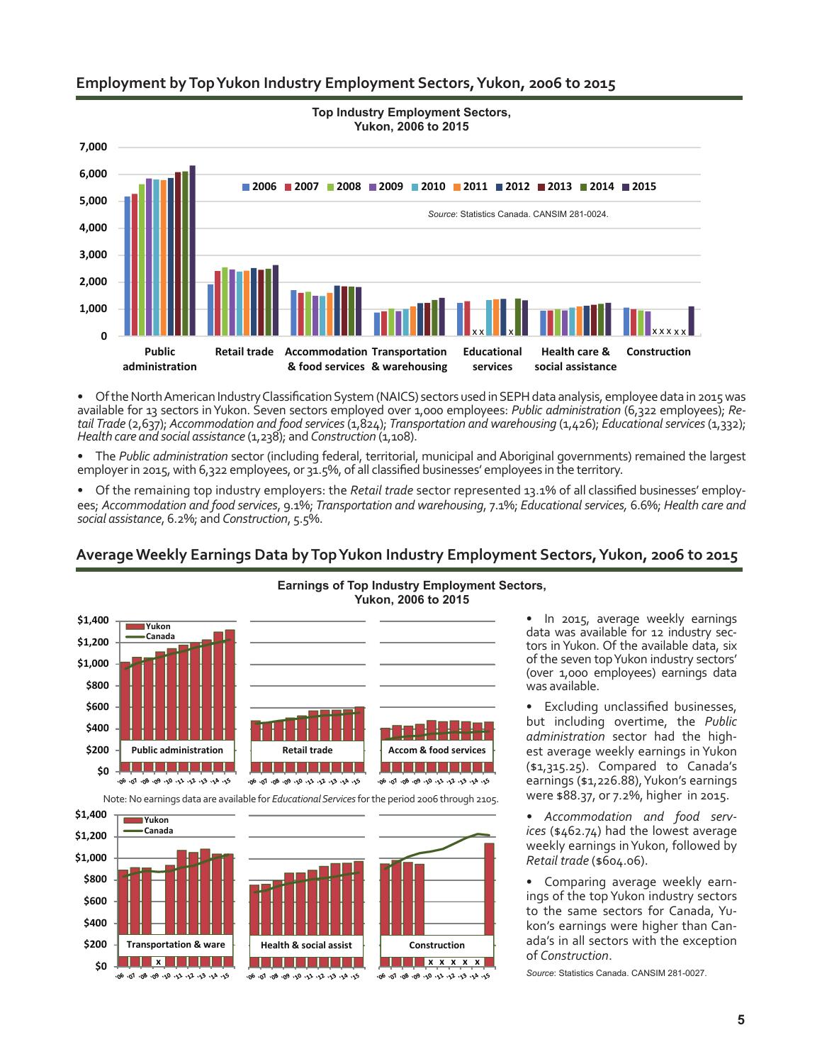### **Employment by Top Yukon Industry Employment Sectors, Yukon, 2006 to 2015**



• Of the North American Industry Classification System (NAICS) sectors used in SEPH data analysis, employee data in 2015 was available for 13 sectors in Yukon. Seven sectors employed over 1,000 employees: *Public administration* (6,322 employees); *Retail Trade* (2,637); *Accommodation and food services* (1,824); *Transportation and warehousing* (1,426); *Educational services* (1,332); *Health care and social assistance* (1,238); and *Construction* (1,108).

• The *Public administration* sector (including federal, territorial, municipal and Aboriginal governments) remained the largest employer in 2015, with 6,322 employees, or 31.5%, of all classified businesses' employees in the territory.

• Of the remaining top industry employers: the *Retail trade* sector represented 13.1% of all classified businesses' employees; *Accommodation and food services*, 9.1%; *Transportation and warehousing*, 7.1%; *Educational services,* 6.6%; *Health care and social assistance*, 6.2%; and *Construction*, 5.5%.

#### **Yukon, 2006 to 2015 \$1,400 Yukon Canada \$1,200 \$1,000 \$800 \$600 \$400 \$200 Public administration Retail trade Accom & food services** <u>la politika politika pro</u> an an ama an an a **\$0** 201 Apr Ep Spr Cp Op Bo Bo To Bo ي. هر. ور. *در. در. در. مر. ور. ور. هر.* اړ. *ور.* 20. 40. 50. 50. 10. 90. 90. 80. 10. 90.



**Average Weekly Earnings Data by Top Yukon Industry Employment Sectors, Yukon, 2006 to 2015**

Note: No earnings data are available for *Educational Services* for the period 2006 through 2105.



• In 2015, average weekly earnings data was available for 12 industry sectors in Yukon. Of the available data, six of the seven top Yukon industry sectors' (over 1,000 employees) earnings data was available.

Excluding unclassified businesses, but including overtime, the *Public administration* sector had the highest average weekly earnings in Yukon (\$1,315.25). Compared to Canada's earnings (\$1,226.88), Yukon's earnings were \$88.37, or 7.2%, higher in 2015.

*• Accommodation and food services* (\$462.74) had the lowest average weekly earnings in Yukon, followed by *Retail trade* (\$604.06).

• Comparing average weekly earnings of the top Yukon industry sectors to the same sectors for Canada, Yukon's earnings were higher than Canada's in all sectors with the exception of *Construction*.

*Source*: Statistics Canada. CANSIM 281-0027.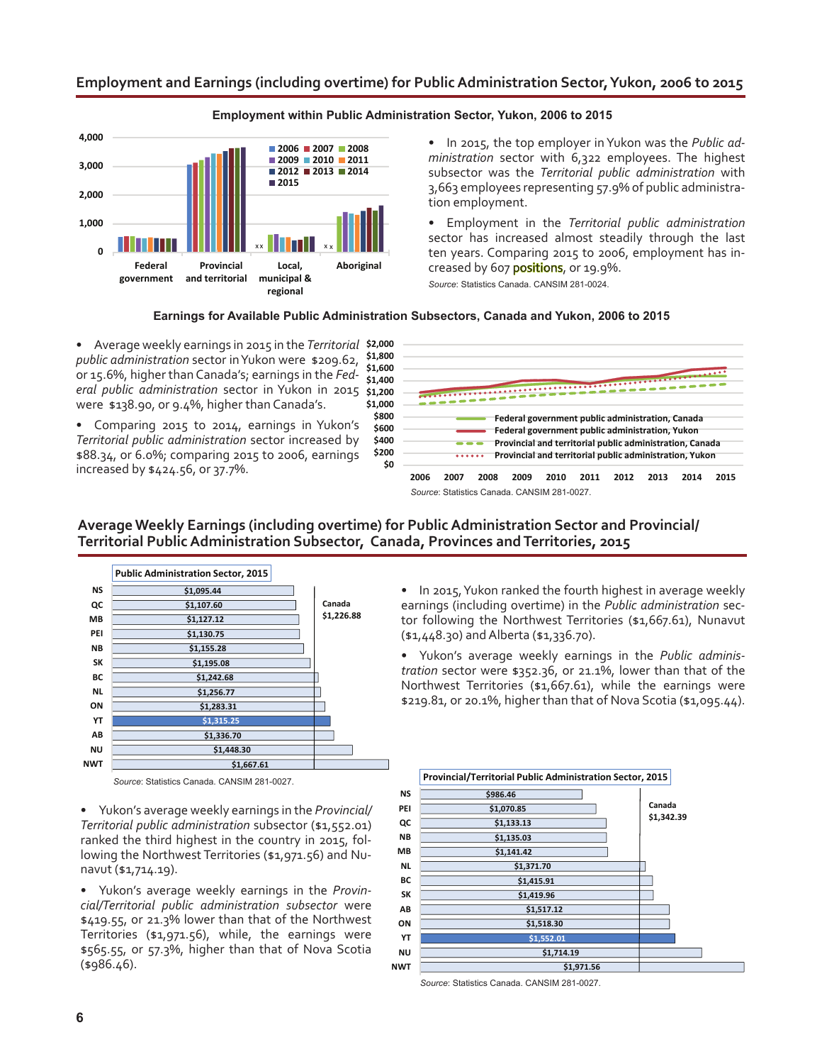### **Employment and Earnings (including overtime) for Public Administration Sector, Yukon, 2006 to 2015**



#### **Employment within Public Administration Sector, Yukon, 2006 to 2015**

• In 2015, the top employer in Yukon was the *Public administration* sector with 6,322 employees. The highest subsector was the *Territorial public administration* with 3,663 employees representing 57.9% of public administration employment.

• Employment in the *Territorial public administration*  sector has increased almost steadily through the last ten years. Comparing 2015 to 2006, employment has increased by 607 **positions**, or 19.9%. *Source*: Statistics Canada. CANSIM 281-0024.

#### **Earnings for Available Public Administration Subsectors, Canada and Yukon, 2006 to 2015**

• Average weekly earnings in 2015 in the *Territorial*  **\$2,000** *public administration* sector in Yukon were \$209.62, or 15.6%, higher than Canada's; earnings in the *Federal public administration* sector in Yukon in 2015 were \$138.90, or 9.4%, higher than Canada's. **\$1,200 \$1,400 \$1,600 \$1,800**

• Comparing 2015 to 2014, earnings in Yukon's *Territorial public administration* sector increased by \$88.34, or 6.0%; comparing 2015 to 2006, earnings increased by \$424.56, or 37.7%.



### **Average Weekly Earnings (including overtime) for Public Administration Sector and Provincial/ Territorial Public Administration Subsector, Canada, Provinces and Territories, 2015**



*Source*: Statistics Canada. CANSIM 281-0027.

• Yukon's average weekly earnings in the *Provincial/ Territorial public administration* subsector (\$1,552.01) ranked the third highest in the country in 2015, following the Northwest Territories (\$1,971.56) and Nunavut (\$1,714.19).

• Yukon's average weekly earnings in the *Provincial/Territorial public administration subsector* were \$419.55, or 21.3% lower than that of the Northwest Territories (\$1,971.56), while, the earnings were \$565.55, or 57.3%, higher than that of Nova Scotia (\$986.46). **\$1,971.56**

• In 2015, Yukon ranked the fourth highest in average weekly earnings (including overtime) in the *Public administration* sector following the Northwest Territories (\$1,667.61), Nunavut (\$1,448.30) and Alberta (\$1,336.70).

• Yukon's average weekly earnings in the *Public administration* sector were \$352.36, or 21.1%, lower than that of the Northwest Territories (\$1,667.61), while the earnings were \$219.81, or 20.1%, higher than that of Nova Scotia (\$1,095.44).



*Source*: Statistics Canada. CANSIM 281-0027.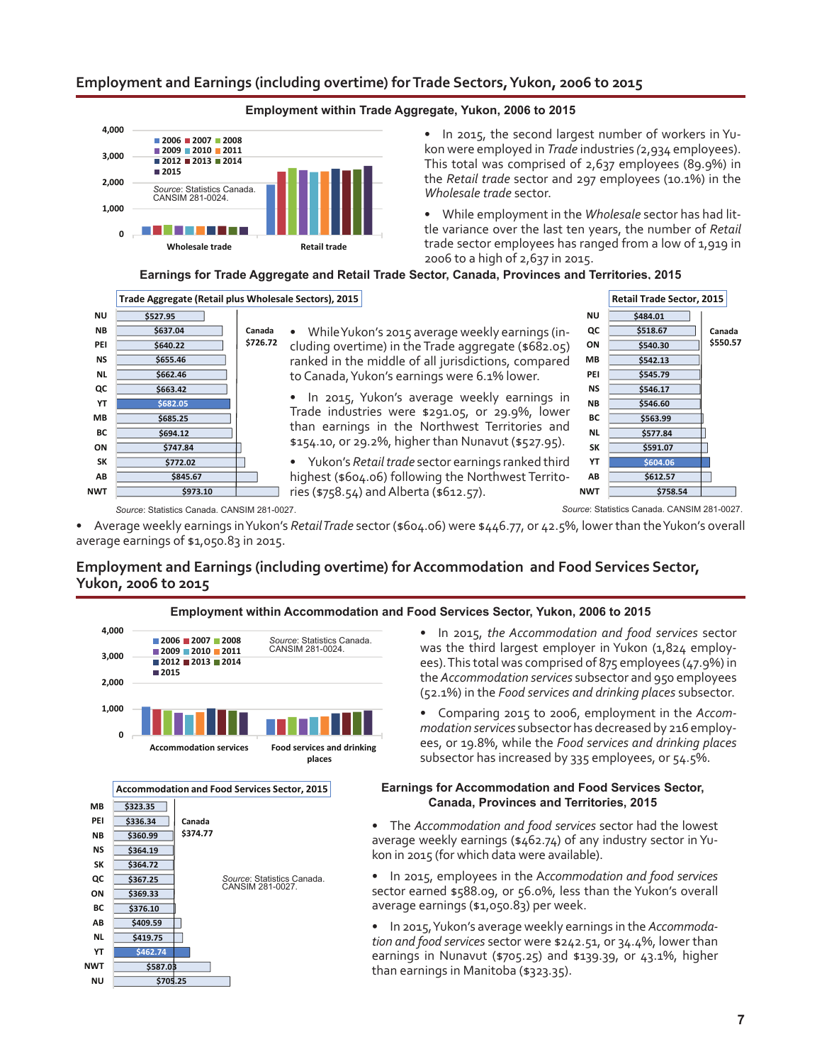### **Employment and Earnings (including overtime) for Trade Sectors, Yukon, 2006 to 2015**



### **Employment within Trade Aggregate, Yukon, 2006 to 2015**

• In 2015, the second largest number of workers in Yukon were employed in *Trade* industries *(*2,934 employees). This total was comprised of 2,637 employees (89.9%) in the *Retail trade* sector and 297 employees (10.1%) in the *Wholesale trade* sector.

• While employment in the *Wholesale* sector has had little variance over the last ten years, the number of *Retail* trade sector employees has ranged from a low of 1,919 in 2006 to a high of 2,637 in 2015.

### **Earnings for Trade Aggregate and Retail Trade Sector, Canada, Provinces and Territories, 2015**





*Source*: Statistics Canada. CANSIM 281-0027. *Source*: Statistics Canada. CANSIM 281-0027.

• Average weekly earnings in Yukon's *Retail Trade* sector (\$604.06) were \$446.77, or 42.5%, lower than the Yukon's overall average earnings of \$1,050.83 in 2015.

# **Employment and Earnings (including overtime) for Accommodation and Food Services Sector, Yukon, 2006 to 2015**



**\$705.25 \$587.03**

**NU NWT**

#### **Employment within Accommodation and Food Services Sector, Yukon, 2006 to 2015**

• In 2015, *the Accommodation and food services* sector was the third largest employer in Yukon (1,824 employees). This total was comprised of 875 employees (47.9%) in the *Accommodation services* subsector and 950 employees (52.1%) in the *Food services and drinking places* subsector.

• Comparing 2015 to 2006, employment in the *Accommodation services* subsector has decreased by 216 employees, or 19.8%, while the *Food services and drinking places* subsector has increased by 335 employees, or 54.5%.

### **Earnings for Accommodation and Food Services Sector, Canada, Provinces and Territories, 2015**

• The *Accommodation and food services* sector had the lowest average weekly earnings (\$462.74) of any industry sector in Yukon in 2015 (for which data were available).

• In 2015, employees in the A*ccommodation and food services*  sector earned \$588.09, or 56.0%, less than the Yukon's overall average earnings (\$1,050.83) per week.

• In 2015, Yukon's average weekly earnings in the *Accommodation and food services* sector were \$242.51, or 34.4%, lower than earnings in Nunavut (\$705.25) and \$139.39, or 43.1%, higher than earnings in Manitoba (\$323.35).